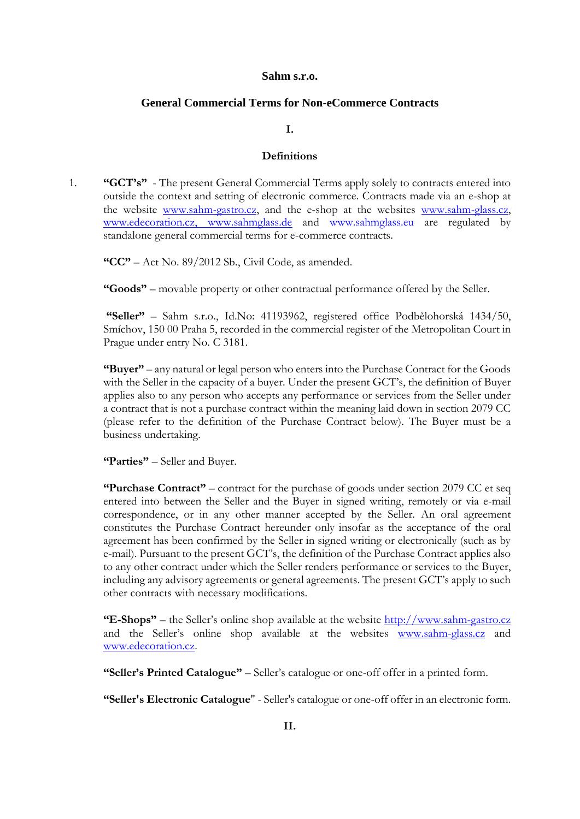#### **Sahm s.r.o.**

## **General Commercial Terms for Non-eCommerce Contracts**

#### **I.**

### **Definitions**

1. **"GCT's"** - The present General Commercial Terms apply solely to contracts entered into outside the context and setting of electronic commerce. Contracts made via an e-shop at the website [www.sahm-gastro.cz,](http://www.sahm-gastro.cz/) and the e-shop at the websites [www.sahm-glass.cz,](http://www.sahm-glass.cz/) [www.edecoration.cz,](http://www.edecoration.cz/) [www.sahmglass.de](http://www.sahmglass.de/) and www.sahmglass.eu are regulated by standalone general commercial terms for e-commerce contracts.

**"CC"** – Act No. 89/2012 Sb., Civil Code, as amended.

**"Goods"** – movable property or other contractual performance offered by the Seller.

**"Seller"** – Sahm s.r.o., Id.No: 41193962, registered office Podbělohorská 1434/50, Smíchov, 150 00 Praha 5, recorded in the commercial register of the Metropolitan Court in Prague under entry No. C 3181.

**"Buyer"** – any natural or legal person who enters into the Purchase Contract for the Goods with the Seller in the capacity of a buyer. Under the present GCT's, the definition of Buyer applies also to any person who accepts any performance or services from the Seller under a contract that is not a purchase contract within the meaning laid down in section 2079 CC (please refer to the definition of the Purchase Contract below). The Buyer must be a business undertaking.

**"Parties"** – Seller and Buyer.

**"Purchase Contract"** – contract for the purchase of goods under section 2079 CC et seq entered into between the Seller and the Buyer in signed writing, remotely or via e-mail correspondence, or in any other manner accepted by the Seller. An oral agreement constitutes the Purchase Contract hereunder only insofar as the acceptance of the oral agreement has been confirmed by the Seller in signed writing or electronically (such as by e-mail). Pursuant to the present GCT's, the definition of the Purchase Contract applies also to any other contract under which the Seller renders performance or services to the Buyer, including any advisory agreements or general agreements. The present GCT's apply to such other contracts with necessary modifications.

**"E-Shops"** – the Seller's online shop available at the website [http://www.sahm-gastro.cz](http://www.sahm-gastro.cz/) and the Seller's online shop available at the websites [www.sahm-glass.cz](http://www.sahm-glass.cz/) and [www.edecoration.cz.](http://www.edecoration.cz/)

**"Seller's Printed Catalogue"** – Seller's catalogue or one-off offer in a printed form.

**"Seller's Electronic Catalogue**" - Seller's catalogue or one-off offer in an electronic form.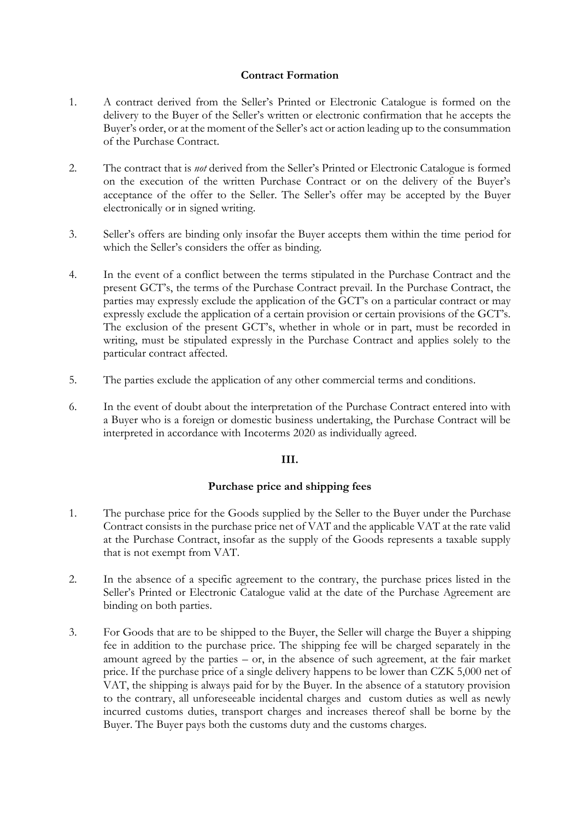# **Contract Formation**

- 1. A contract derived from the Seller's Printed or Electronic Catalogue is formed on the delivery to the Buyer of the Seller's written or electronic confirmation that he accepts the Buyer's order, or at the moment of the Seller's act or action leading up to the consummation of the Purchase Contract.
- 2. The contract that is *not* derived from the Seller's Printed or Electronic Catalogue is formed on the execution of the written Purchase Contract or on the delivery of the Buyer's acceptance of the offer to the Seller. The Seller's offer may be accepted by the Buyer electronically or in signed writing.
- 3. Seller's offers are binding only insofar the Buyer accepts them within the time period for which the Seller's considers the offer as binding.
- 4. In the event of a conflict between the terms stipulated in the Purchase Contract and the present GCT's, the terms of the Purchase Contract prevail. In the Purchase Contract, the parties may expressly exclude the application of the GCT's on a particular contract or may expressly exclude the application of a certain provision or certain provisions of the GCT's. The exclusion of the present GCT's, whether in whole or in part, must be recorded in writing, must be stipulated expressly in the Purchase Contract and applies solely to the particular contract affected.
- 5. The parties exclude the application of any other commercial terms and conditions.
- 6. In the event of doubt about the interpretation of the Purchase Contract entered into with a Buyer who is a foreign or domestic business undertaking, the Purchase Contract will be interpreted in accordance with Incoterms 2020 as individually agreed.

# **III.**

# **Purchase price and shipping fees**

- 1. The purchase price for the Goods supplied by the Seller to the Buyer under the Purchase Contract consists in the purchase price net of VAT and the applicable VAT at the rate valid at the Purchase Contract, insofar as the supply of the Goods represents a taxable supply that is not exempt from VAT.
- 2. In the absence of a specific agreement to the contrary, the purchase prices listed in the Seller's Printed or Electronic Catalogue valid at the date of the Purchase Agreement are binding on both parties.
- 3. For Goods that are to be shipped to the Buyer, the Seller will charge the Buyer a shipping fee in addition to the purchase price. The shipping fee will be charged separately in the amount agreed by the parties – or, in the absence of such agreement, at the fair market price. If the purchase price of a single delivery happens to be lower than CZK 5,000 net of VAT, the shipping is always paid for by the Buyer. In the absence of a statutory provision to the contrary, all unforeseeable incidental charges and custom duties as well as newly incurred customs duties, transport charges and increases thereof shall be borne by the Buyer. The Buyer pays both the customs duty and the customs charges.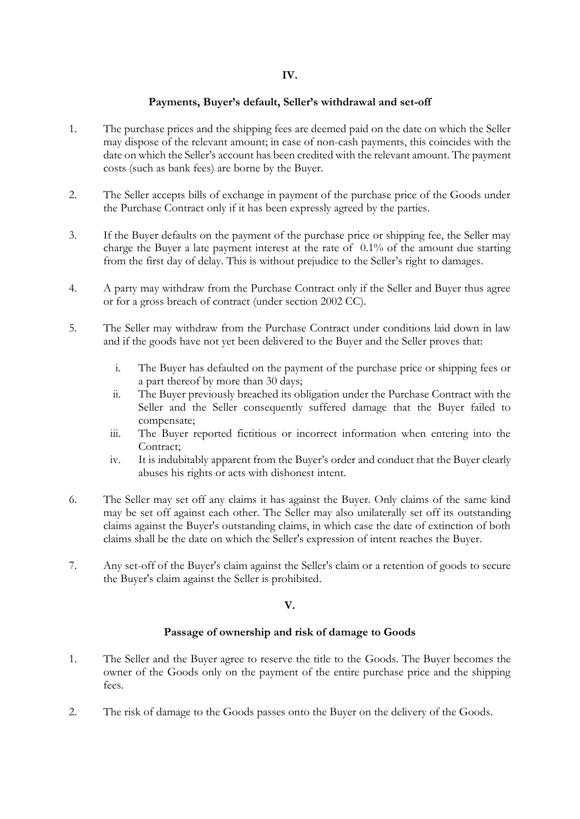## **Payments, Buyer's default, Seller's withdrawal and set-off**

- 1. The purchase prices and the shipping fees are deemed paid on the date on which the Seller may dispose of the relevant amount; in case of non-cash payments, this coincides with the date on which the Seller's account has been credited with the relevant amount. The payment costs (such as bank fees) are borne by the Buyer.
- 2. The Seller accepts bills of exchange in payment of the purchase price of the Goods under the Purchase Contract only if it has been expressly agreed by the parties.
- 3. If the Buyer defaults on the payment of the purchase price or shipping fee, the Seller may charge the Buyer a late payment interest at the rate of 0.1% of the amount due starting from the first day of delay. This is without prejudice to the Seller's right to damages.
- 4. A party may withdraw from the Purchase Contract only if the Seller and Buyer thus agree or for a gross breach of contract (under section 2002 CC).
- 5. The Seller may withdraw from the Purchase Contract under conditions laid down in law and if the goods have not yet been delivered to the Buyer and the Seller proves that:
	- i. The Buyer has defaulted on the payment of the purchase price or shipping fees or a part thereof by more than 30 days;
	- ii. The Buyer previously breached its obligation under the Purchase Contract with the Seller and the Seller consequently suffered damage that the Buyer failed to compensate;
	- iii. The Buyer reported fictitious or incorrect information when entering into the Contract;
	- iv. It is indubitably apparent from the Buyer's order and conduct that the Buyer clearly abuses his rights or acts with dishonest intent.
- 6. The Seller may set off any claims it has against the Buyer. Only claims of the same kind may be set off against each other. The Seller may also unilaterally set off its outstanding claims against the Buyer's outstanding claims, in which case the date of extinction of both claims shall be the date on which the Seller's expression of intent reaches the Buyer.
- 7. Any set-off of the Buyer's claim against the Seller's claim or a retention of goods to secure the Buyer's claim against the Seller is prohibited.

### **V.**

### **Passage of ownership and risk of damage to Goods**

- 1. The Seller and the Buyer agree to reserve the title to the Goods. The Buyer becomes the owner of the Goods only on the payment of the entire purchase price and the shipping fees.
- 2. The risk of damage to the Goods passes onto the Buyer on the delivery of the Goods.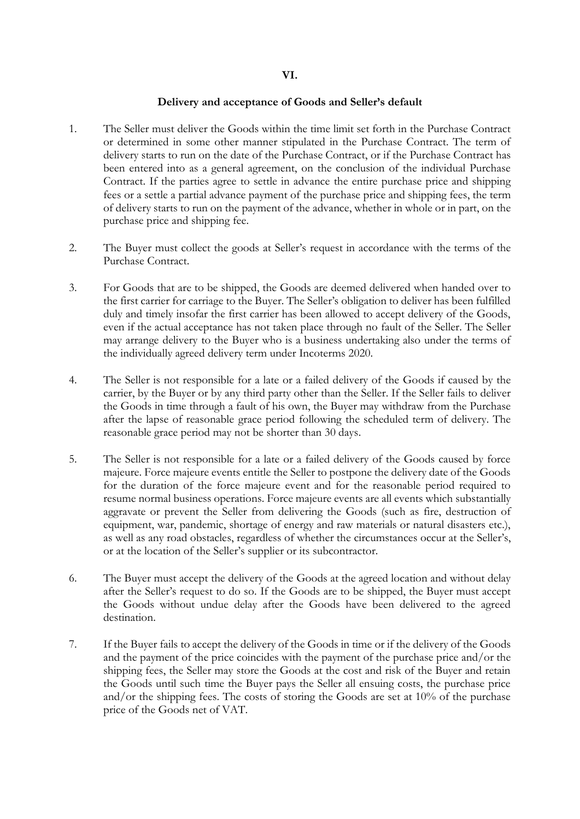### **Delivery and acceptance of Goods and Seller's default**

- 1. The Seller must deliver the Goods within the time limit set forth in the Purchase Contract or determined in some other manner stipulated in the Purchase Contract. The term of delivery starts to run on the date of the Purchase Contract, or if the Purchase Contract has been entered into as a general agreement, on the conclusion of the individual Purchase Contract. If the parties agree to settle in advance the entire purchase price and shipping fees or a settle a partial advance payment of the purchase price and shipping fees, the term of delivery starts to run on the payment of the advance, whether in whole or in part, on the purchase price and shipping fee.
- 2. The Buyer must collect the goods at Seller's request in accordance with the terms of the Purchase Contract.
- 3. For Goods that are to be shipped, the Goods are deemed delivered when handed over to the first carrier for carriage to the Buyer. The Seller's obligation to deliver has been fulfilled duly and timely insofar the first carrier has been allowed to accept delivery of the Goods, even if the actual acceptance has not taken place through no fault of the Seller. The Seller may arrange delivery to the Buyer who is a business undertaking also under the terms of the individually agreed delivery term under Incoterms 2020.
- 4. The Seller is not responsible for a late or a failed delivery of the Goods if caused by the carrier, by the Buyer or by any third party other than the Seller. If the Seller fails to deliver the Goods in time through a fault of his own, the Buyer may withdraw from the Purchase after the lapse of reasonable grace period following the scheduled term of delivery. The reasonable grace period may not be shorter than 30 days.
- 5. The Seller is not responsible for a late or a failed delivery of the Goods caused by force majeure. Force majeure events entitle the Seller to postpone the delivery date of the Goods for the duration of the force majeure event and for the reasonable period required to resume normal business operations. Force majeure events are all events which substantially aggravate or prevent the Seller from delivering the Goods (such as fire, destruction of equipment, war, pandemic, shortage of energy and raw materials or natural disasters etc.), as well as any road obstacles, regardless of whether the circumstances occur at the Seller's, or at the location of the Seller's supplier or its subcontractor.
- 6. The Buyer must accept the delivery of the Goods at the agreed location and without delay after the Seller's request to do so. If the Goods are to be shipped, the Buyer must accept the Goods without undue delay after the Goods have been delivered to the agreed destination.
- 7. If the Buyer fails to accept the delivery of the Goods in time or if the delivery of the Goods and the payment of the price coincides with the payment of the purchase price and/or the shipping fees, the Seller may store the Goods at the cost and risk of the Buyer and retain the Goods until such time the Buyer pays the Seller all ensuing costs, the purchase price and/or the shipping fees. The costs of storing the Goods are set at 10% of the purchase price of the Goods net of VAT.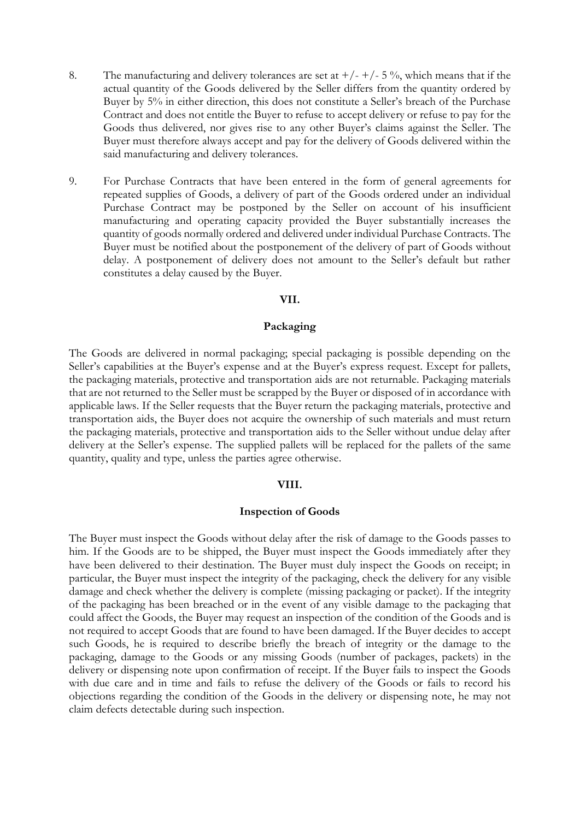- 8. The manufacturing and delivery tolerances are set at  $+/- +/- 5$ %, which means that if the actual quantity of the Goods delivered by the Seller differs from the quantity ordered by Buyer by 5% in either direction, this does not constitute a Seller's breach of the Purchase Contract and does not entitle the Buyer to refuse to accept delivery or refuse to pay for the Goods thus delivered, nor gives rise to any other Buyer's claims against the Seller. The Buyer must therefore always accept and pay for the delivery of Goods delivered within the said manufacturing and delivery tolerances.
- 9. For Purchase Contracts that have been entered in the form of general agreements for repeated supplies of Goods, a delivery of part of the Goods ordered under an individual Purchase Contract may be postponed by the Seller on account of his insufficient manufacturing and operating capacity provided the Buyer substantially increases the quantity of goods normally ordered and delivered under individual Purchase Contracts. The Buyer must be notified about the postponement of the delivery of part of Goods without delay. A postponement of delivery does not amount to the Seller's default but rather constitutes a delay caused by the Buyer.

#### **VII.**

## **Packaging**

The Goods are delivered in normal packaging; special packaging is possible depending on the Seller's capabilities at the Buyer's expense and at the Buyer's express request. Except for pallets, the packaging materials, protective and transportation aids are not returnable. Packaging materials that are not returned to the Seller must be scrapped by the Buyer or disposed of in accordance with applicable laws. If the Seller requests that the Buyer return the packaging materials, protective and transportation aids, the Buyer does not acquire the ownership of such materials and must return the packaging materials, protective and transportation aids to the Seller without undue delay after delivery at the Seller's expense. The supplied pallets will be replaced for the pallets of the same quantity, quality and type, unless the parties agree otherwise.

### **VIII.**

#### **Inspection of Goods**

The Buyer must inspect the Goods without delay after the risk of damage to the Goods passes to him. If the Goods are to be shipped, the Buyer must inspect the Goods immediately after they have been delivered to their destination. The Buyer must duly inspect the Goods on receipt; in particular, the Buyer must inspect the integrity of the packaging, check the delivery for any visible damage and check whether the delivery is complete (missing packaging or packet). If the integrity of the packaging has been breached or in the event of any visible damage to the packaging that could affect the Goods, the Buyer may request an inspection of the condition of the Goods and is not required to accept Goods that are found to have been damaged. If the Buyer decides to accept such Goods, he is required to describe briefly the breach of integrity or the damage to the packaging, damage to the Goods or any missing Goods (number of packages, packets) in the delivery or dispensing note upon confirmation of receipt. If the Buyer fails to inspect the Goods with due care and in time and fails to refuse the delivery of the Goods or fails to record his objections regarding the condition of the Goods in the delivery or dispensing note, he may not claim defects detectable during such inspection.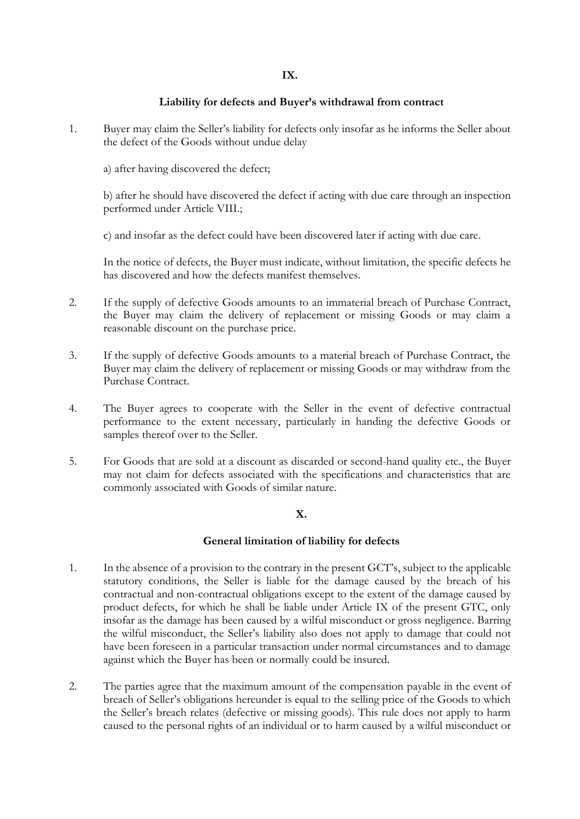## **Liability for defects and Buyer's withdrawal from contract**

- 1. Buyer may claim the Seller's liability for defects only insofar as he informs the Seller about the defect of the Goods without undue delay
	- a) after having discovered the defect;

b) after he should have discovered the defect if acting with due care through an inspection performed under Article VIII.;

c) and insofar as the defect could have been discovered later if acting with due care.

In the notice of defects, the Buyer must indicate, without limitation, the specific defects he has discovered and how the defects manifest themselves.

- 2. If the supply of defective Goods amounts to an immaterial breach of Purchase Contract, the Buyer may claim the delivery of replacement or missing Goods or may claim a reasonable discount on the purchase price.
- 3. If the supply of defective Goods amounts to a material breach of Purchase Contract, the Buyer may claim the delivery of replacement or missing Goods or may withdraw from the Purchase Contract.
- 4. The Buyer agrees to cooperate with the Seller in the event of defective contractual performance to the extent necessary, particularly in handing the defective Goods or samples thereof over to the Seller.
- 5. For Goods that are sold at a discount as discarded or second-hand quality etc., the Buyer may not claim for defects associated with the specifications and characteristics that are commonly associated with Goods of similar nature.

# **X.**

# **General limitation of liability for defects**

- 1. In the absence of a provision to the contrary in the present GCT's, subject to the applicable statutory conditions, the Seller is liable for the damage caused by the breach of his contractual and non-contractual obligations except to the extent of the damage caused by product defects, for which he shall be liable under Article IX of the present GTC, only insofar as the damage has been caused by a wilful misconduct or gross negligence. Barring the wilful misconduct, the Seller's liability also does not apply to damage that could not have been foreseen in a particular transaction under normal circumstances and to damage against which the Buyer has been or normally could be insured.
- 2. The parties agree that the maximum amount of the compensation payable in the event of breach of Seller's obligations hereunder is equal to the selling price of the Goods to which the Seller's breach relates (defective or missing goods). This rule does not apply to harm caused to the personal rights of an individual or to harm caused by a wilful misconduct or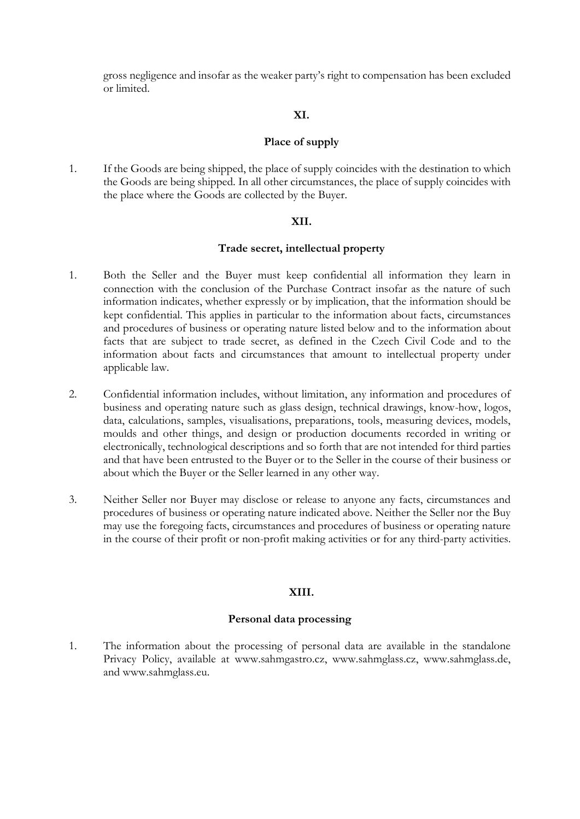gross negligence and insofar as the weaker party's right to compensation has been excluded or limited.

## **XI.**

## **Place of supply**

1. If the Goods are being shipped, the place of supply coincides with the destination to which the Goods are being shipped. In all other circumstances, the place of supply coincides with the place where the Goods are collected by the Buyer.

## **XII.**

## **Trade secret, intellectual property**

- 1. Both the Seller and the Buyer must keep confidential all information they learn in connection with the conclusion of the Purchase Contract insofar as the nature of such information indicates, whether expressly or by implication, that the information should be kept confidential. This applies in particular to the information about facts, circumstances and procedures of business or operating nature listed below and to the information about facts that are subject to trade secret, as defined in the Czech Civil Code and to the information about facts and circumstances that amount to intellectual property under applicable law.
- 2. Confidential information includes, without limitation, any information and procedures of business and operating nature such as glass design, technical drawings, know-how, logos, data, calculations, samples, visualisations, preparations, tools, measuring devices, models, moulds and other things, and design or production documents recorded in writing or electronically, technological descriptions and so forth that are not intended for third parties and that have been entrusted to the Buyer or to the Seller in the course of their business or about which the Buyer or the Seller learned in any other way.
- 3. Neither Seller nor Buyer may disclose or release to anyone any facts, circumstances and procedures of business or operating nature indicated above. Neither the Seller nor the Buy may use the foregoing facts, circumstances and procedures of business or operating nature in the course of their profit or non-profit making activities or for any third-party activities.

# **XIII.**

### **Personal data processing**

1. The information about the processing of personal data are available in the standalone Privacy Policy, available at www.sahmgastro.cz, www.sahmglass.cz, www.sahmglass.de, and www.sahmglass.eu.